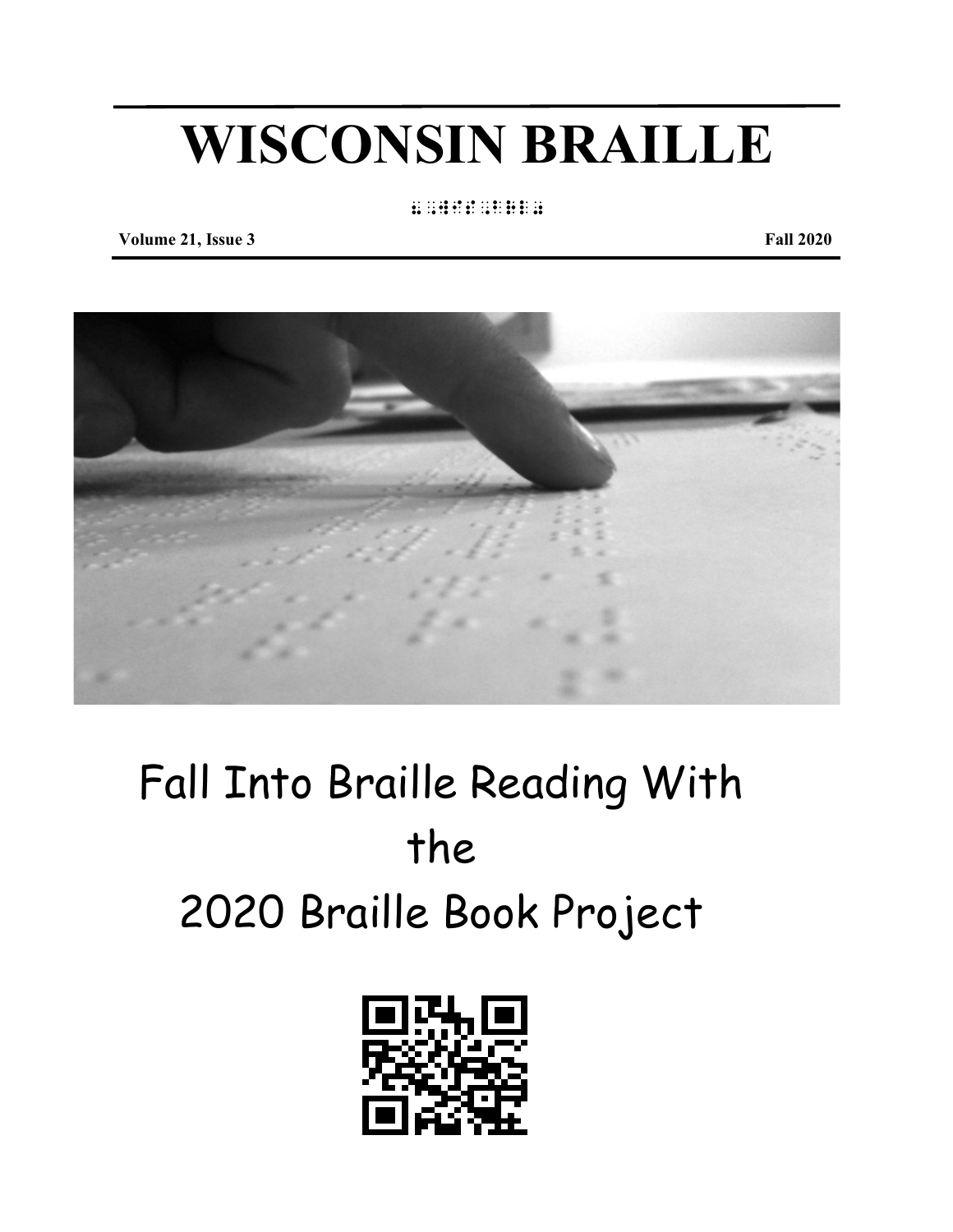# **WISCONSIN BRAILLE**

### 8,wisterstehung

**Volume 21, Issue 3** Fall 2020



## Fall Into Braille Reading With the 2020 Braille Book Project

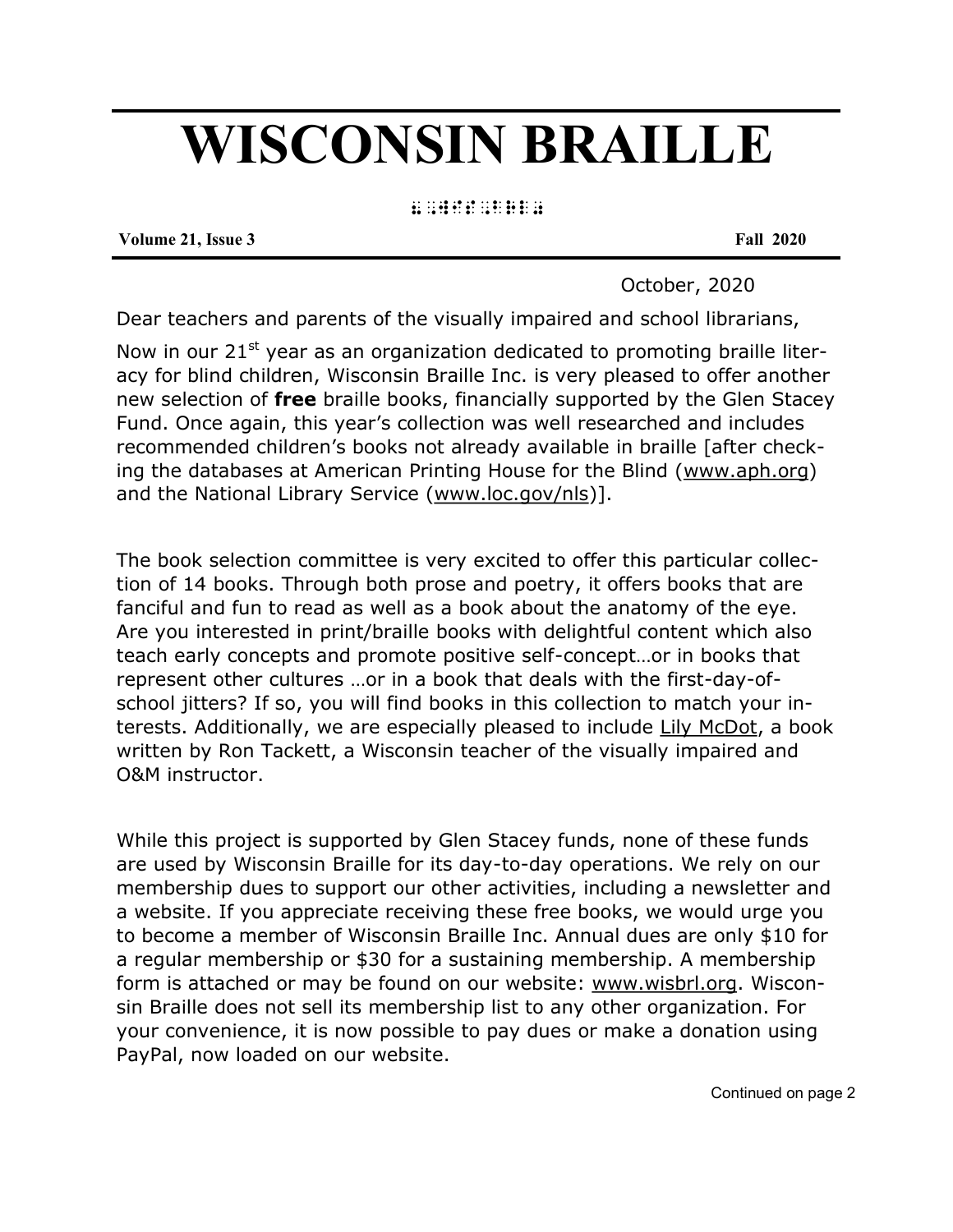## **WISCONSIN BRAILLE**

8, wis, britis, britis, britis, britis, britis, britis, britis, britis, britis, britis, britis, britis, britis<br>8, wis, britis, britis, britis, britis, britis, britis, britis, britis, britis, britis, britis, britis, britis

**Volume 21, Issue 3 Fall 2020**

October, 2020

Dear teachers and parents of the visually impaired and school librarians,

Now in our 21 $^{\rm st}$  year as an organization dedicated to promoting braille literacy for blind children, Wisconsin Braille Inc. is very pleased to offer another new selection of **free** braille books, financially supported by the Glen Stacey Fund. Once again, this year's collection was well researched and includes recommended children's books not already available in braille [after checking the databases at American Printing House for the Blind (www.aph.org) and the National Library Service (www.loc.gov/nls)].

The book selection committee is very excited to offer this particular collection of 14 books. Through both prose and poetry, it offers books that are fanciful and fun to read as well as a book about the anatomy of the eye. Are you interested in print/braille books with delightful content which also teach early concepts and promote positive self-concept…or in books that represent other cultures …or in a book that deals with the first-day-ofschool jitters? If so, you will find books in this collection to match your interests. Additionally, we are especially pleased to include Lily McDot, a book written by Ron Tackett, a Wisconsin teacher of the visually impaired and O&M instructor.

While this project is supported by Glen Stacey funds, none of these funds are used by Wisconsin Braille for its day-to-day operations. We rely on our membership dues to support our other activities, including a newsletter and a website. If you appreciate receiving these free books, we would urge you to become a member of Wisconsin Braille Inc. Annual dues are only \$10 for a regular membership or \$30 for a sustaining membership. A membership form is attached or may be found on our website: www.wisbrl.org. Wisconsin Braille does not sell its membership list to any other organization. For your convenience, it is now possible to pay dues or make a donation using PayPal, now loaded on our website.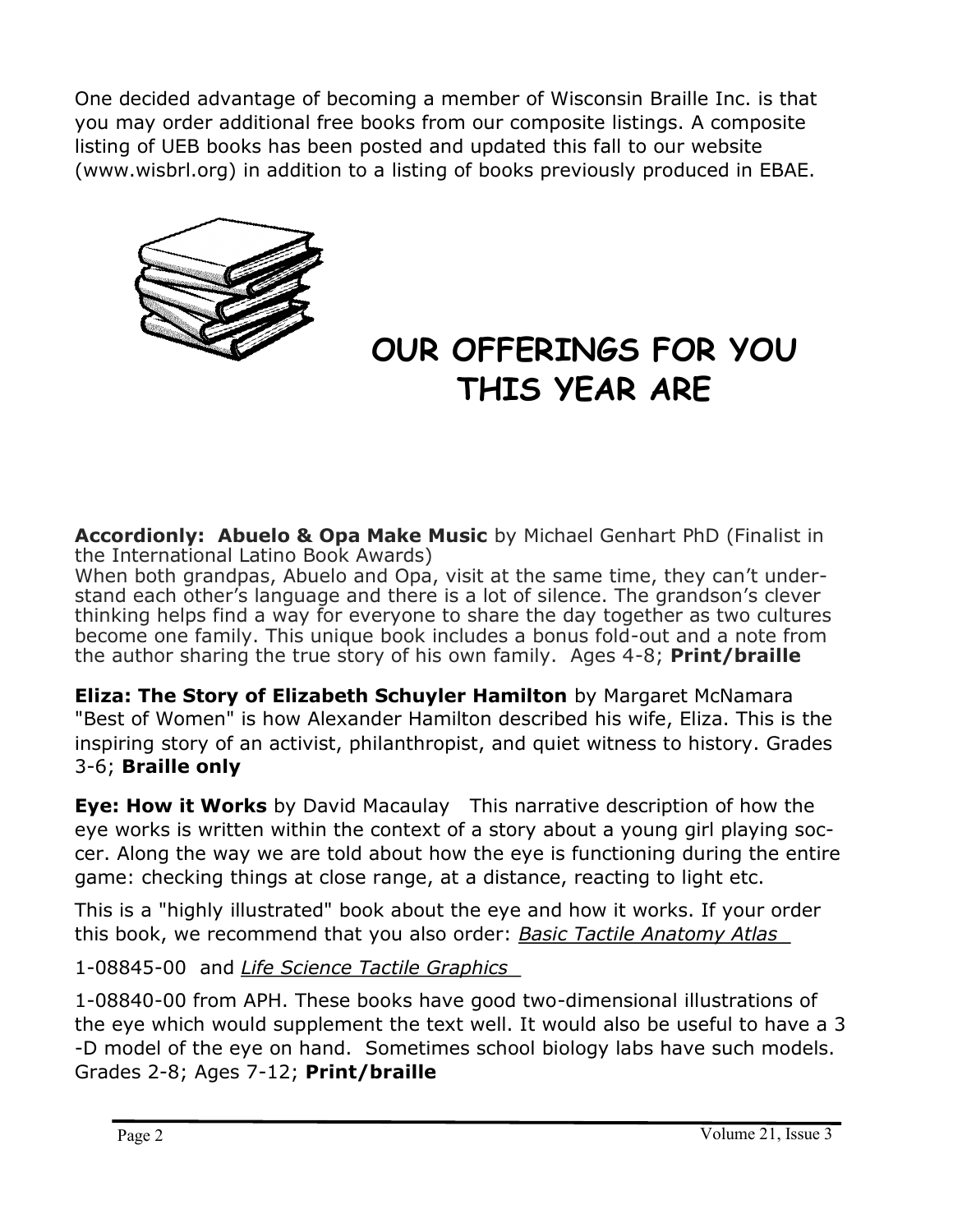One decided advantage of becoming a member of Wisconsin Braille Inc. is that you may order additional free books from our composite listings. A composite listing of UEB books has been posted and updated this fall to our website (www.wisbrl.org) in addition to a listing of books previously produced in EBAE.



## **OUR OFFERINGS FOR YOU THIS YEAR ARE**

**Accordionly: Abuelo & Opa Make Music** by Michael Genhart PhD (Finalist in the International Latino Book Awards)

When both grandpas, Abuelo and Opa, visit at the same time, they can't understand each other's language and there is a lot of silence. The grandson's clever thinking helps find a way for everyone to share the day together as two cultures become one family. This unique book includes a bonus fold-out and a note from the author sharing the true story of his own family. Ages 4-8; **Print/braille**

**Eliza: The Story of Elizabeth Schuyler Hamilton** by Margaret McNamara "Best of Women" is how Alexander Hamilton described his wife, Eliza. This is the inspiring story of an activist, philanthropist, and quiet witness to history. Grades 3-6; **Braille only**

**Eye: How it Works** by David Macaulay This narrative description of how the eye works is written within the context of a story about a young girl playing soccer. Along the way we are told about how the eye is functioning during the entire game: checking things at close range, at a distance, reacting to light etc.

This is a "highly illustrated" book about the eye and how it works. If your order this book, we recommend that you also order: *Basic Tactile Anatomy Atlas* 

1-08845-00 and *Life Science Tactile Graphics* 

1-08840-00 from APH. These books have good two-dimensional illustrations of the eye which would supplement the text well. It would also be useful to have a 3 -D model of the eye on hand. Sometimes school biology labs have such models. Grades 2-8; Ages 7-12; **Print/braille**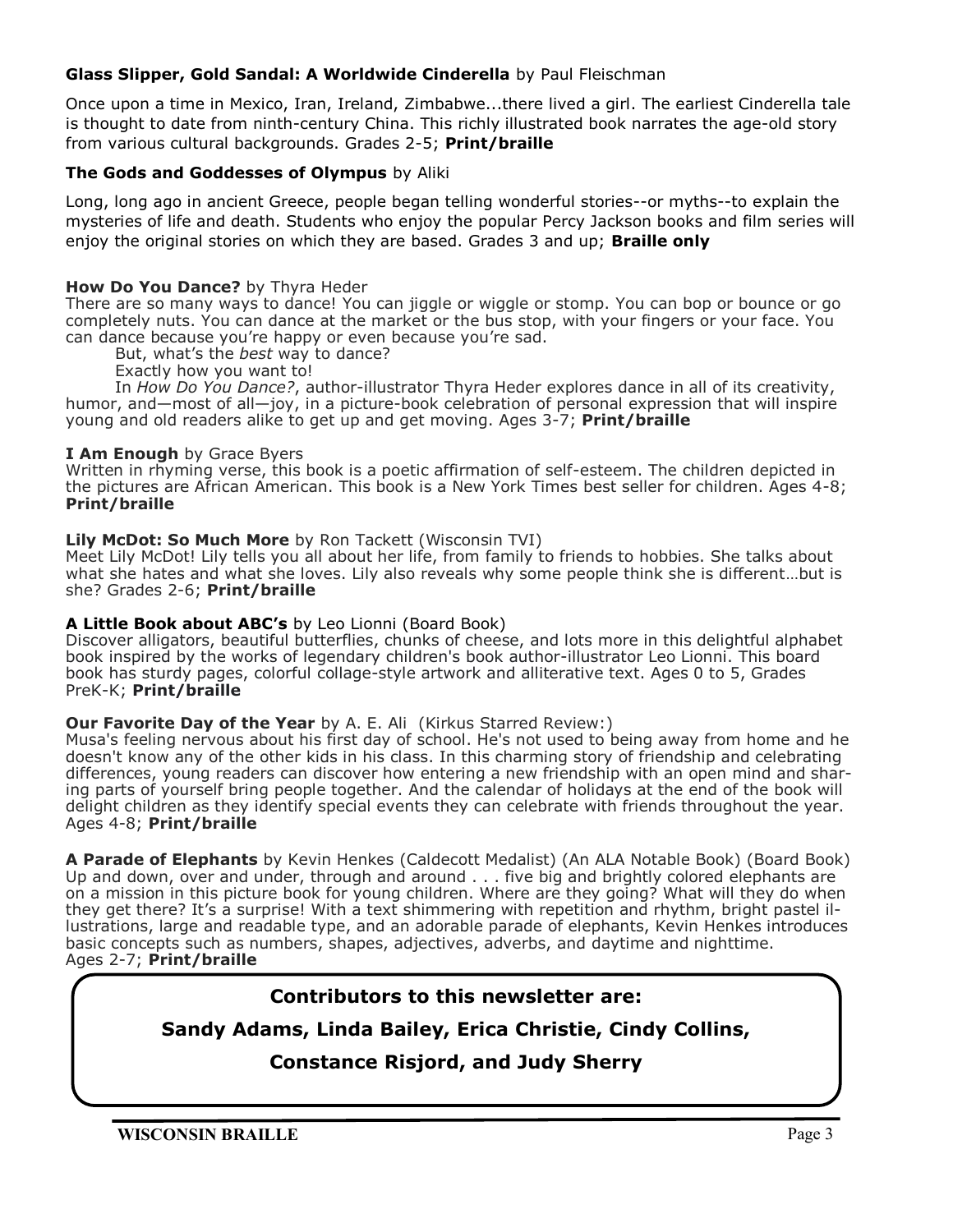### **Glass Slipper, Gold Sandal: A Worldwide Cinderella** by Paul Fleischman

Once upon a time in Mexico, Iran, Ireland, Zimbabwe...there lived a girl. The earliest Cinderella tale is thought to date from ninth-century China. This richly illustrated book narrates the age-old story from various cultural backgrounds. Grades 2-5; **Print/braille**

### **The Gods and Goddesses of Olympus** by Aliki

Long, long ago in ancient Greece, people began telling wonderful stories--or myths--to explain the mysteries of life and death. Students who enjoy the popular Percy Jackson books and film series will enjoy the original stories on which they are based. Grades 3 and up; **Braille only**

### **How Do You Dance?** by Thyra Heder

There are so many ways to dance! You can jiggle or wiggle or stomp. You can bop or bounce or go completely nuts. You can dance at the market or the bus stop, with your fingers or your face. You can dance because you're happy or even because you're sad.

But, what's the *best* way to dance?

Exactly how you want to!

 In *How Do You Dance?*, author-illustrator Thyra Heder explores dance in all of its creativity, humor, and—most of all—joy, in a picture-book celebration of personal expression that will inspire young and old readers alike to get up and get moving. Ages 3-7; **Print/braille**

### **I Am Enough** by Grace Byers

Written in rhyming verse, this book is a poetic affirmation of self-esteem. The children depicted in the pictures are African American. This book is a New York Times best seller for children. Ages 4-8; **Print/braille**

#### **Lily McDot: So Much More** by Ron Tackett (Wisconsin TVI)

Meet Lily McDot! Lily tells you all about her life, from family to friends to hobbies. She talks about what she hates and what she loves. Lily also reveals why some people think she is different...but is she? Grades 2-6; **Print/braille**

#### **A Little Book about ABC's** by Leo Lionni (Board Book)

Discover alligators, beautiful butterflies, chunks of cheese, and lots more in this delightful alphabet book inspired by the works of legendary children's book author-illustrator Leo Lionni. This board book has sturdy pages, colorful collage-style artwork and alliterative text. Ages 0 to 5, Grades PreK-K; **Print/braille**

### **Our Favorite Day of the Year** by A. E. Ali (Kirkus Starred Review:)

Musa's feeling nervous about his first day of school. He's not used to being away from home and he doesn't know any of the other kids in his class. In this charming story of friendship and celebrating differences, young readers can discover how entering a new friendship with an open mind and sharing parts of yourself bring people together. And the calendar of holidays at the end of the book will delight children as they identify special events they can celebrate with friends throughout the year. Ages 4-8; **Print/braille**

**A Parade of Elephants** by Kevin Henkes (Caldecott Medalist) (An ALA Notable Book) (Board Book) Up and down, over and under, through and around . . . five big and brightly colored elephants are on a mission in this picture book for young children. Where are they going? What will they do when they get there? It's a surprise! With a text shimmering with repetition and rhythm, bright pastel illustrations, large and readable type, and an adorable parade of elephants, Kevin Henkes introduces basic concepts such as numbers, shapes, adjectives, adverbs, and daytime and nighttime. Ages 2-7; **Print/braille**

### **Contributors to this newsletter are:**

### **Sandy Adams, Linda Bailey, Erica Christie, Cindy Collins,**

### **Constance Risjord, and Judy Sherry**

**WISCONSIN BRAILLE** Page 3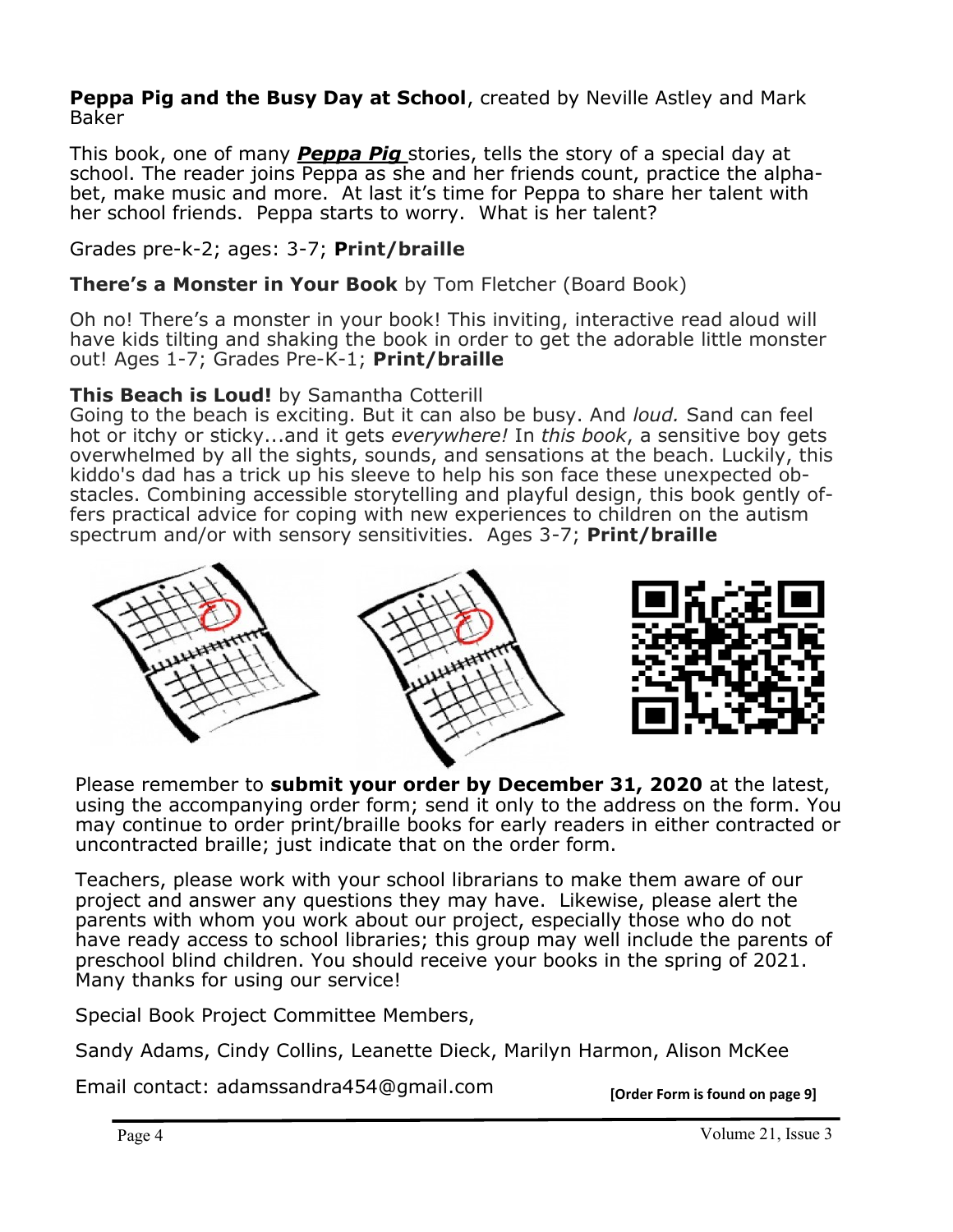**Peppa Pig and the Busy Day at School**, created by Neville Astley and Mark Baker

This book, one of many *Peppa Pig* stories, tells the story of a special day at school. The reader joins Peppa as she and her friends count, practice the alphabet, make music and more. At last it's time for Peppa to share her talent with her school friends. Peppa starts to worry. What is her talent?

Grades pre-k-2; ages: 3-7; **Print/braille**

**There's a Monster in Your Book** by Tom Fletcher (Board Book)

Oh no! There's a monster in your book! This inviting, interactive read aloud will have kids tilting and shaking the book in order to get the adorable little monster out! Ages 1-7; Grades Pre-K-1; **Print/braille**

### **This Beach is Loud!** by Samantha Cotterill

Going to the beach is exciting. But it can also be busy. And *loud.* Sand can feel hot or itchy or sticky...and it gets *everywhere!* In *this book*, a sensitive boy gets overwhelmed by all the sights, sounds, and sensations at the beach. Luckily, this kiddo's dad has a trick up his sleeve to help his son face these unexpected obstacles. Combining accessible storytelling and playful design, this book gently offers practical advice for coping with new experiences to children on the autism spectrum and/or with sensory sensitivities. Ages 3-7; **Print/braille**



Please remember to **submit your order by December 31, 2020** at the latest, using the accompanying order form; send it only to the address on the form. You may continue to order print/braille books for early readers in either contracted or uncontracted braille; just indicate that on the order form.

Teachers, please work with your school librarians to make them aware of our project and answer any questions they may have. Likewise, please alert the parents with whom you work about our project, especially those who do not have ready access to school libraries; this group may well include the parents of preschool blind children. You should receive your books in the spring of 2021. Many thanks for using our service!

Special Book Project Committee Members,

Sandy Adams, Cindy Collins, Leanette Dieck, Marilyn Harmon, Alison McKee

Email contact: adamssandra454@gmail.com **[Order Form is found on page 9]**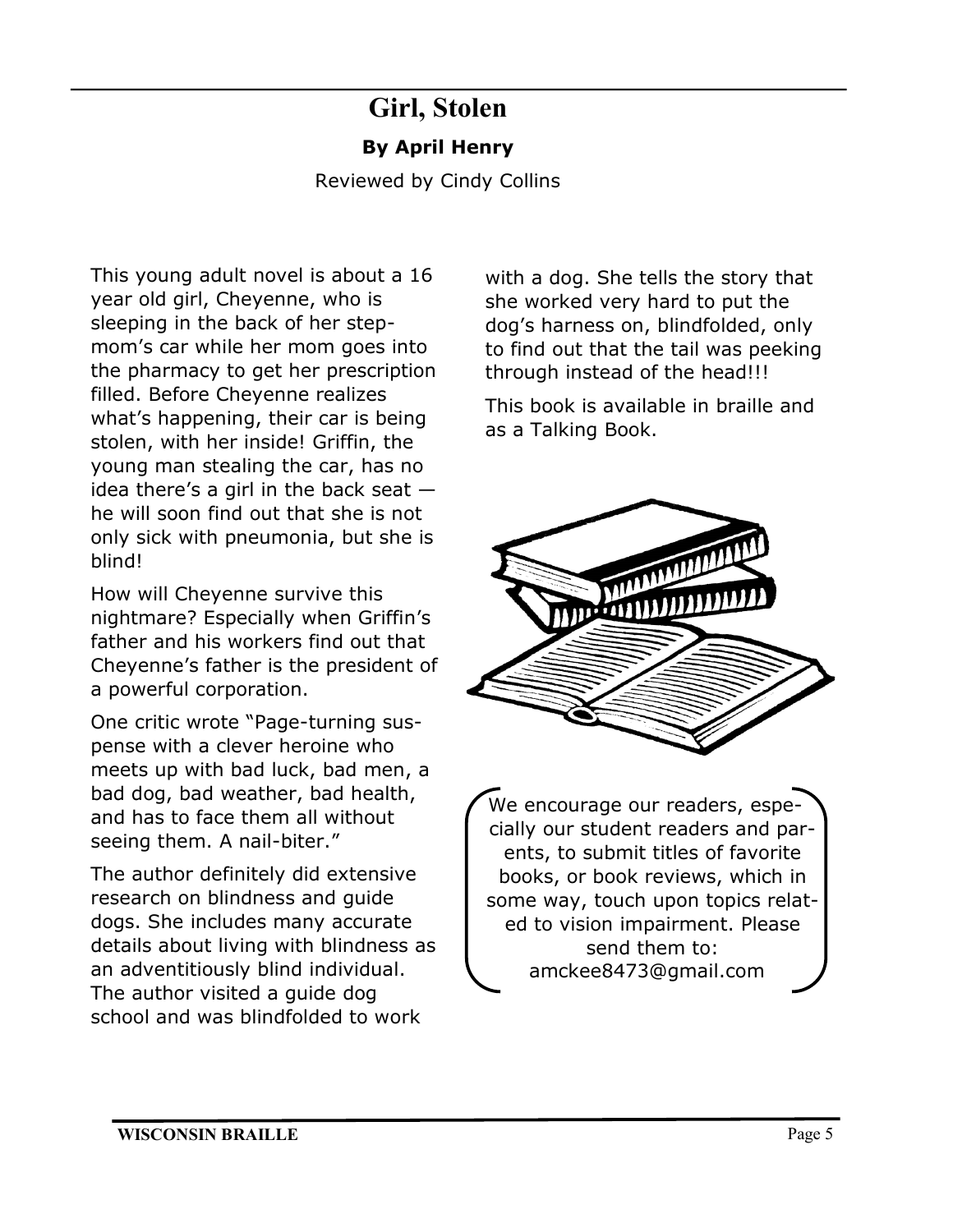### **Girl, Stolen By April Henry**

Reviewed by Cindy Collins

This young adult novel is about a 16 year old girl, Cheyenne, who is sleeping in the back of her stepmom's car while her mom goes into the pharmacy to get her prescription filled. Before Cheyenne realizes what's happening, their car is being stolen, with her inside! Griffin, the young man stealing the car, has no idea there's a girl in the back seat  $$ he will soon find out that she is not only sick with pneumonia, but she is blind!

How will Cheyenne survive this nightmare? Especially when Griffin's father and his workers find out that Cheyenne's father is the president of a powerful corporation.

One critic wrote "Page-turning suspense with a clever heroine who meets up with bad luck, bad men, a bad dog, bad weather, bad health, and has to face them all without seeing them. A nail-biter."

The author definitely did extensive research on blindness and guide dogs. She includes many accurate details about living with blindness as an adventitiously blind individual. The author visited a guide dog school and was blindfolded to work

with a dog. She tells the story that she worked very hard to put the dog's harness on, blindfolded, only to find out that the tail was peeking through instead of the head!!!

This book is available in braille and as a Talking Book.



We encourage our readers, especially our student readers and parents, to submit titles of favorite books, or book reviews, which in some way, touch upon topics related to vision impairment. Please send them to: amckee8473@gmail.com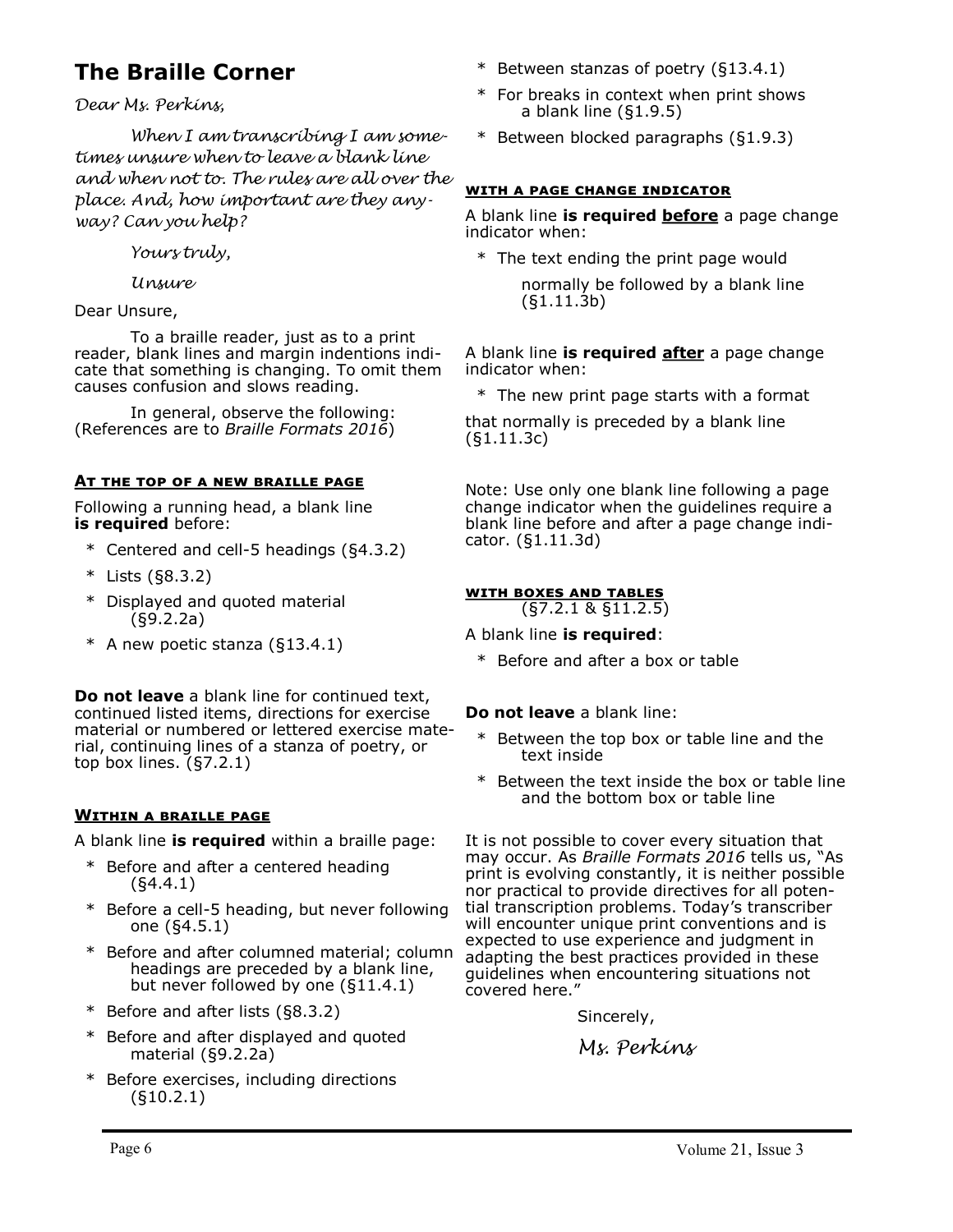### **The Braille Corner**

*Dear Ms. Perkins,*

*When I am transcribing I am sometimes unsure when to leave a blank line and when not to. The rules are all over the place. And, how important are they anyway? Can you help?*

*Yours truly,*

*Unsure*

Dear Unsure,

To a braille reader, just as to a print reader, blank lines and margin indentions indicate that something is changing. To omit them causes confusion and slows reading.

In general, observe the following: (References are to *Braille Formats 2016*)

### **At the top of a new braille page**

Following a running head, a blank line **is required** before:

- \* Centered and cell-5 headings (§4.3.2)
- \* Lists (§8.3.2)
- \* Displayed and quoted material (§9.2.2a)
- \* A new poetic stanza (§13.4.1)

**Do not leave** a blank line for continued text, continued listed items, directions for exercise material or numbered or lettered exercise material, continuing lines of a stanza of poetry, or top box lines. (§7.2.1)

### **Within a braille page**

A blank line **is required** within a braille page:

- \* Before and after a centered heading (§4.4.1)
- \* Before a cell-5 heading, but never following one (§4.5.1)
- \* Before and after columned material; column headings are preceded by a blank line, but never followed by one (§11.4.1)
- \* Before and after lists (§8.3.2)
- Before and after displayed and quoted material (§9.2.2a)
- \* Before exercises, including directions (§10.2.1)
- \* Between stanzas of poetry (§13.4.1)
- \* For breaks in context when print shows a blank line (§1.9.5)
- \* Between blocked paragraphs (§1.9.3)

### **with a page change indicator**

A blank line **is required before** a page change indicator when:

\* The text ending the print page would

normally be followed by a blank line (§1.11.3b)

A blank line **is required after** a page change indicator when:

\* The new print page starts with a format

that normally is preceded by a blank line (§1.11.3c)

Note: Use only one blank line following a page change indicator when the guidelines require a blank line before and after a page change indicator. (§1.11.3d)

### **with boxes and tables**

(§7.2.1 & §11.2.5)

A blank line **is required**:

\* Before and after a box or table

### **Do not leave** a blank line:

- \* Between the top box or table line and the text inside
- \* Between the text inside the box or table line and the bottom box or table line

It is not possible to cover every situation that may occur. As *Braille Formats 2016* tells us, "As print is evolving constantly, it is neither possible nor practical to provide directives for all potential transcription problems. Today's transcriber will encounter unique print conventions and is expected to use experience and judgment in adapting the best practices provided in these guidelines when encountering situations not covered here."

Sincerely,

*Ms. Perkins*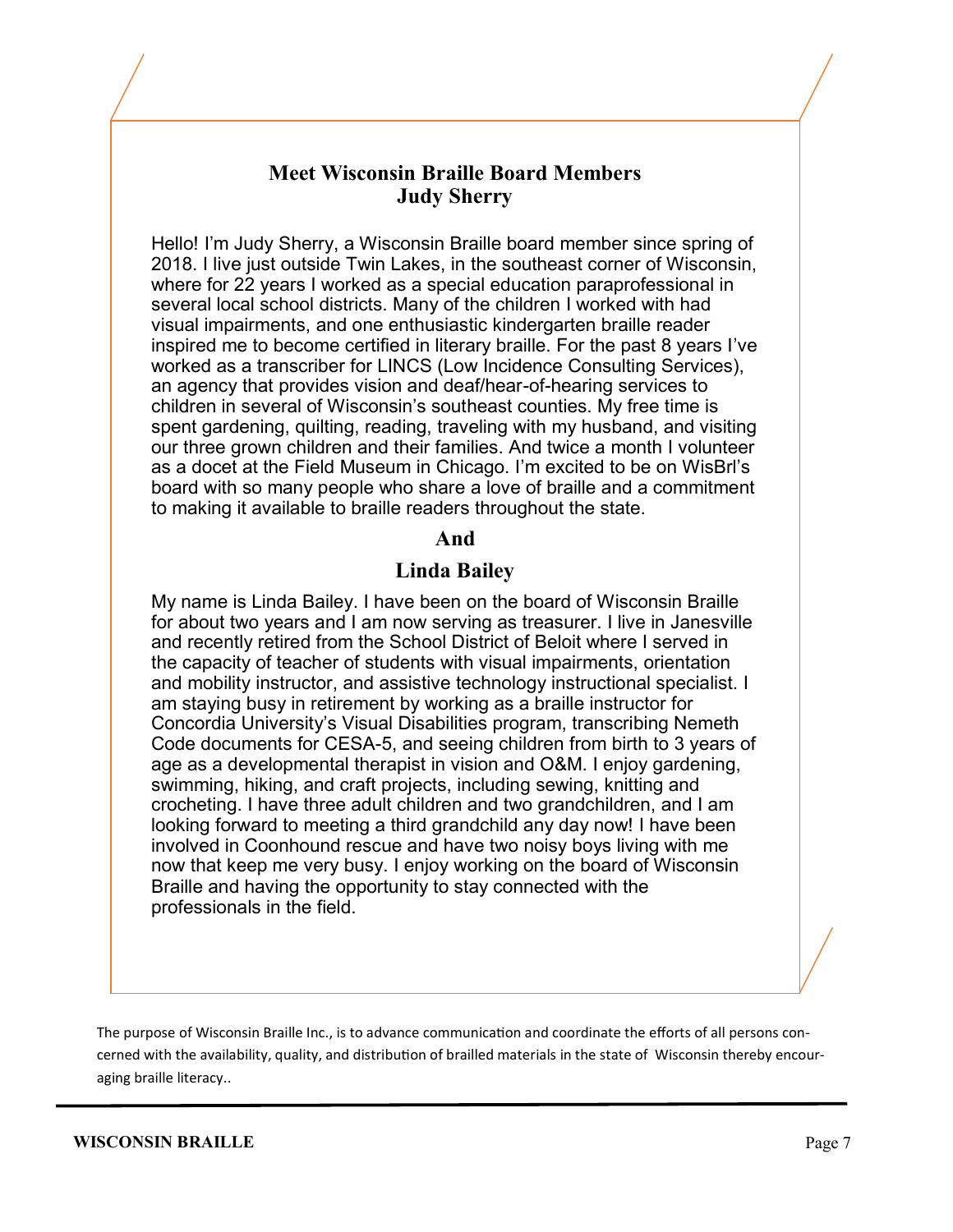### **Meet Wisconsin Braille Board Members Judy Sherry**

Hello! I'm Judy Sherry, a Wisconsin Braille board member since spring of 2018. I live just outside Twin Lakes, in the southeast corner of Wisconsin, where for 22 years I worked as a special education paraprofessional in several local school districts. Many of the children I worked with had visual impairments, and one enthusiastic kindergarten braille reader inspired me to become certified in literary braille. For the past 8 years I've worked as a transcriber for LINCS (Low Incidence Consulting Services), an agency that provides vision and deaf/hear-of-hearing services to children in several of Wisconsin's southeast counties. My free time is spent gardening, quilting, reading, traveling with my husband, and visiting our three grown children and their families. And twice a month I volunteer as a docet at the Field Museum in Chicago. I'm excited to be on WisBrl's board with so many people who share a love of braille and a commitment to making it available to braille readers throughout the state.

### **And**

### **Linda Bailey**

My name is Linda Bailey. I have been on the board of Wisconsin Braille for about two years and I am now serving as treasurer. I live in Janesville and recently retired from the School District of Beloit where I served in the capacity of teacher of students with visual impairments, orientation and mobility instructor, and assistive technology instructional specialist. I am staying busy in retirement by working as a braille instructor for Concordia University's Visual Disabilities program, transcribing Nemeth Code documents for CESA-5, and seeing children from birth to 3 years of age as a developmental therapist in vision and O&M. I enjoy gardening, swimming, hiking, and craft projects, including sewing, knitting and crocheting. I have three adult children and two grandchildren, and I am looking forward to meeting a third grandchild any day now! I have been involved in Coonhound rescue and have two noisy boys living with me now that keep me very busy. I enjoy working on the board of Wisconsin Braille and having the opportunity to stay connected with the professionals in the field.

The purpose of Wisconsin Braille Inc., is to advance communication and coordinate the efforts of all persons concerned with the availability, quality, and distribution of brailled materials in the state of Wisconsin thereby encouraging braille literacy..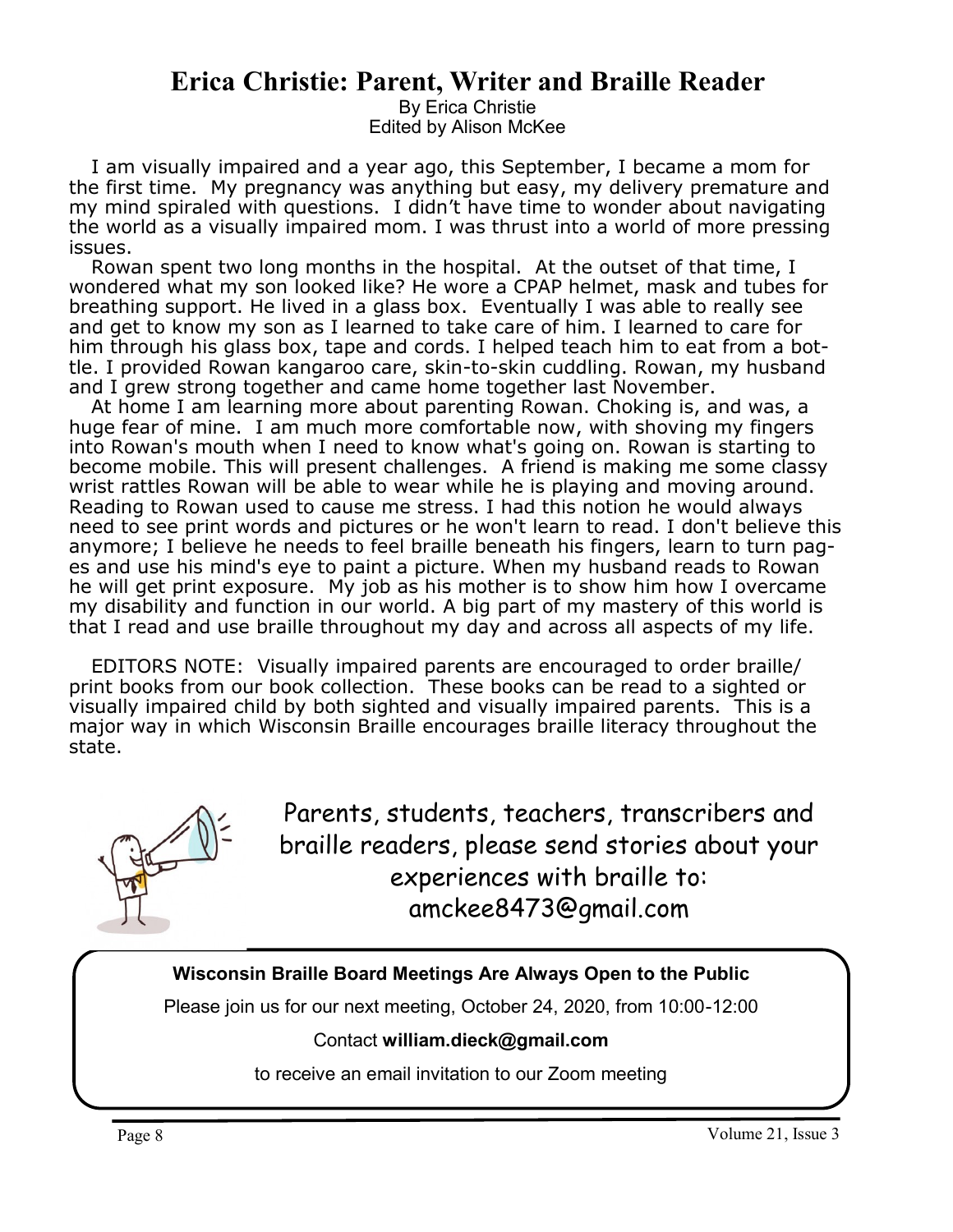### **Erica Christie: Parent, Writer and Braille Reader**

By Erica Christie Edited by Alison McKee

I am visually impaired and a year ago, this September, I became a mom for the first time. My pregnancy was anything but easy, my delivery premature and my mind spiraled with questions. I didn't have time to wonder about navigating the world as a visually impaired mom. I was thrust into a world of more pressing issues.

Rowan spent two long months in the hospital. At the outset of that time, I wondered what my son looked like? He wore a CPAP helmet, mask and tubes for breathing support. He lived in a glass box. Eventually I was able to really see and get to know my son as I learned to take care of him. I learned to care for him through his glass box, tape and cords. I helped teach him to eat from a bottle. I provided Rowan kangaroo care, skin-to-skin cuddling. Rowan, my husband and I grew strong together and came home together last November.

At home I am learning more about parenting Rowan. Choking is, and was, a huge fear of mine. I am much more comfortable now, with shoving my fingers into Rowan's mouth when I need to know what's going on. Rowan is starting to become mobile. This will present challenges. A friend is making me some classy wrist rattles Rowan will be able to wear while he is playing and moving around. Reading to Rowan used to cause me stress. I had this notion he would always need to see print words and pictures or he won't learn to read. I don't believe this anymore; I believe he needs to feel braille beneath his fingers, learn to turn pages and use his mind's eye to paint a picture. When my husband reads to Rowan he will get print exposure. My job as his mother is to show him how I overcame my disability and function in our world. A big part of my mastery of this world is that I read and use braille throughout my day and across all aspects of my life.

EDITORS NOTE: Visually impaired parents are encouraged to order braille/ print books from our book collection. These books can be read to a sighted or visually impaired child by both sighted and visually impaired parents. This is a major way in which Wisconsin Braille encourages braille literacy throughout the state.



Parents, students, teachers, transcribers and braille readers, please send stories about your experiences with braille to: amckee8473@gmail.com

### **Wisconsin Braille Board Meetings Are Always Open to the Public**

Please join us for our next meeting, October 24, 2020, from 10:00-12:00

### Contact **william.dieck@gmail.com**

to receive an email invitation to our Zoom meeting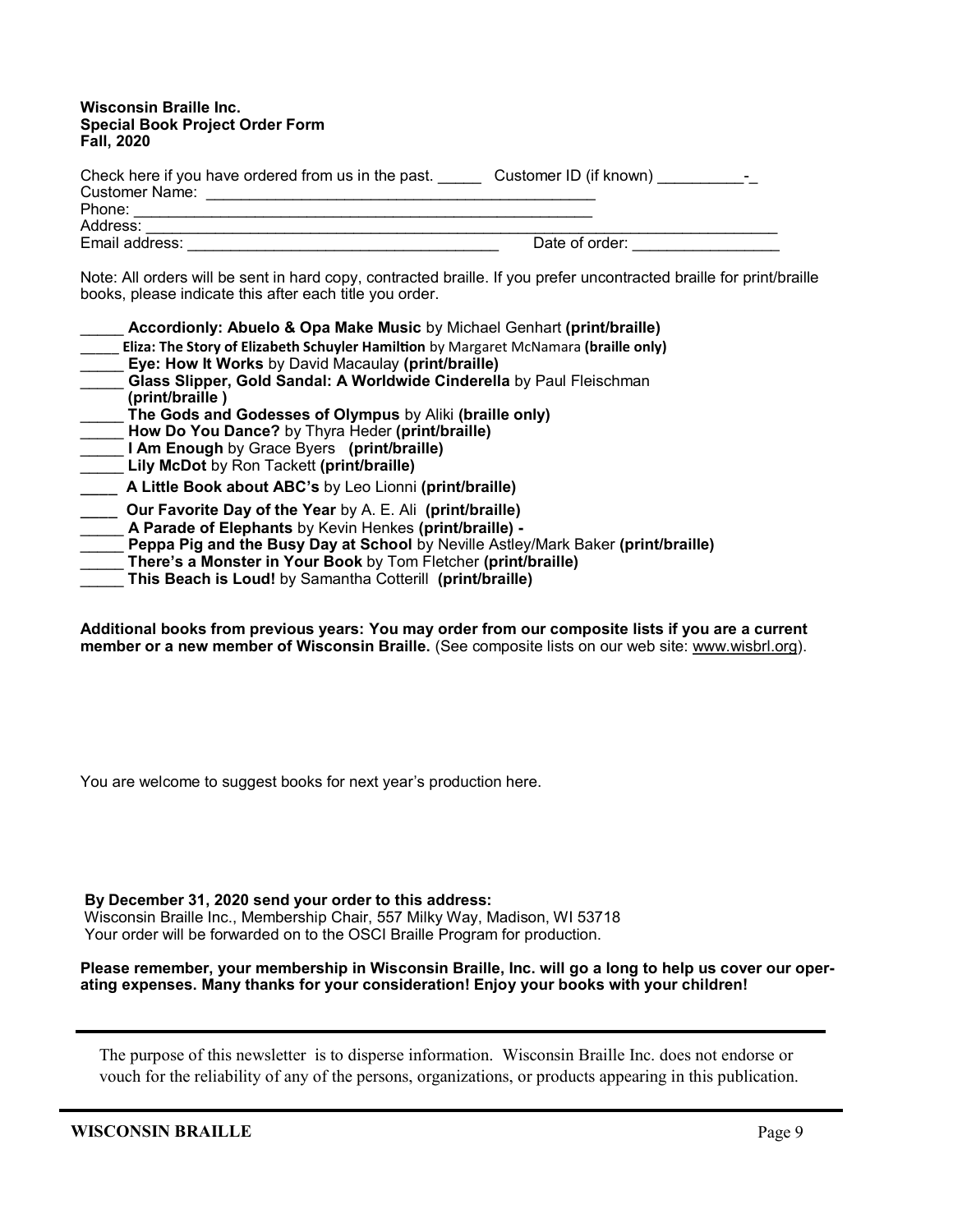#### **Wisconsin Braille Inc. Special Book Project Order Form Fall, 2020**

| Check here if you have ordered from us in the past.<br><b>Customer Name:</b> | Customer ID (if known)<br>- |
|------------------------------------------------------------------------------|-----------------------------|
| Phone:                                                                       |                             |
| Address:                                                                     |                             |
| Email address:                                                               | Date of order:              |
|                                                                              |                             |

Note: All orders will be sent in hard copy, contracted braille. If you prefer uncontracted braille for print/braille books, please indicate this after each title you order.

| Accordionly: Abuelo & Opa Make Music by Michael Genhart (print/braille)              |
|--------------------------------------------------------------------------------------|
| Eliza: The Story of Elizabeth Schuyler Hamiltion by Margaret McNamara (braille only) |
| Eye: How It Works by David Macaulay (print/braille)                                  |
| Glass Slipper, Gold Sandal: A Worldwide Cinderella by Paul Fleischman                |
| (print/braille)                                                                      |
| The Gods and Godesses of Olympus by Aliki (braille only)                             |
| How Do You Dance? by Thyra Heder (print/braille)                                     |
| I Am Enough by Grace Byers (print/braille)                                           |
| Lily McDot by Ron Tackett (print/braille)                                            |
| A Little Book about ABC's by Leo Lionni (print/braille)                              |
| <b>Our Favorite Day of the Year</b> by A. E. Ali (print/braille)                     |
| A Parade of Elephants by Kevin Henkes (print/braille) -                              |
| Peppa Pig and the Busy Day at School by Neville Astley/Mark Baker (print/braille)    |
| There's a Monster in Your Book by Tom Fletcher (print/braille)                       |
| This Beach is Loud! by Samantha Cotterill (print/braille)                            |
|                                                                                      |

**Additional books from previous years: You may order from our composite lists if you are a current member or a new member of Wisconsin Braille.** (See composite lists on our web site: [www.wisbrl.org\).](http://www.wisbrl.org)

You are welcome to suggest books for next year's production here.

**By December 31, 2020 send your order to this address:** 

Wisconsin Braille Inc., Membership Chair, 557 Milky Way, Madison, WI 53718 Your order will be forwarded on to the OSCI Braille Program for production.

**Please remember, your membership in Wisconsin Braille, Inc. will go a long to help us cover our operating expenses. Many thanks for your consideration! Enjoy your books with your children!**

The purpose of this newsletter is to disperse information. Wisconsin Braille Inc. does not endorse or vouch for the reliability of any of the persons, organizations, or products appearing in this publication.